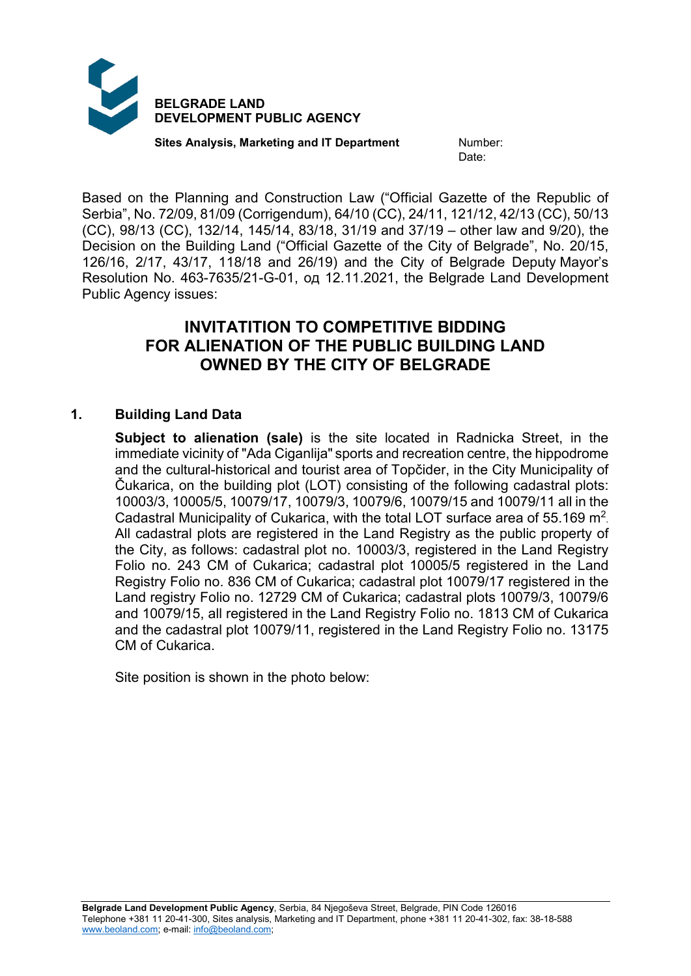

**Sites Analysis, Marketing and IT Department Mumber:** 

Date:

Based on the Planning and Construction Law ("Official Gazette of the Republic of Serbia", No. 72/09, 81/09 (Corrigendum), 64/10 (CC), 24/11, 121/12, 42/13 (CC), 50/13 (CC), 98/13 (CC), 132/14, 145/14, 83/18, 31/19 and 37/19 – other law and 9/20), the Decision on the Building Land ("Official Gazette of the City of Belgrade", No. 20/15, 126/16, 2/17, 43/17, 118/18 and 26/19) and the City of Belgrade Deputy Mayor's Resolution No. 463-7635/21-G-01, од 12.11.2021, the Belgrade Land Development Public Agency issues:

# **INVITATITION TO COMPETITIVE BIDDING FOR ALIENATION OF THE PUBLIC BUILDING LAND OWNED BY THE CITY OF BELGRADE**

# **1. Building Land Data**

**Subject to alienation (sale)** is the site located in Radnicka Street, in the immediate vicinity of "Ada Ciganlija" sports and recreation centre, the hippodrome and the cultural-historical and tourist area of Topčider, in the City Municipality of Čukarica, on the building plot (LOT) consisting of the following cadastral plots: 10003/3, 10005/5, 10079/17, 10079/3, 10079/6, 10079/15 and 10079/11 all in the Cadastral Municipality of Cukarica, with the total LOT surface area of 55.169 m2. All cadastral plots are registered in the Land Registry as the public property of the City, as follows: cadastral plot no. 10003/3, registered in the Land Registry Folio no. 243 CM of Cukarica; cadastral plot 10005/5 registered in the Land Registry Folio no. 836 CM of Cukarica; cadastral plot 10079/17 registered in the Land registry Folio no. 12729 CM of Cukarica; cadastral plots 10079/3, 10079/6 and 10079/15, all registered in the Land Registry Folio no. 1813 CM of Cukarica and the cadastral plot 10079/11, registered in the Land Registry Folio no. 13175 CM of Cukarica.

Site position is shown in the photo below: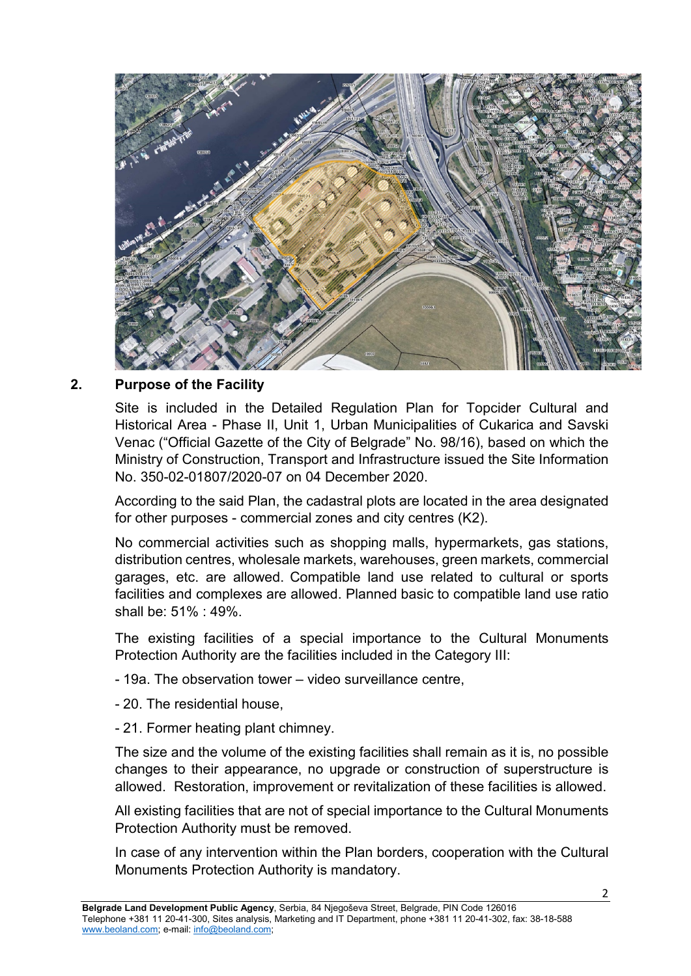

### **2. Purpose of the Facility**

Site is included in the Detailed Regulation Plan for Topcider Cultural and Historical Area - Phase II, Unit 1, Urban Municipalities of Cukarica and Savski Venac ("Official Gazette of the City of Belgrade" No. 98/16), based on which the Ministry of Construction, Transport and Infrastructure issued the Site Information No. 350-02-01807/2020-07 on 04 December 2020.

According to the said Plan, the cadastral plots are located in the area designated for other purposes - commercial zones and city centres (K2).

No commercial activities such as shopping malls, hypermarkets, gas stations, distribution centres, wholesale markets, warehouses, green markets, commercial garages, etc. are allowed. Compatible land use related to cultural or sports facilities and complexes are allowed. Planned basic to compatible land use ratio shall be: 51% : 49%.

The existing facilities of a special importance to the Cultural Monuments Protection Authority are the facilities included in the Category III:

- 19а. The observation tower video surveillance centre,
- 20. The residential house,
- 21. Former heating plant chimney.

The size and the volume of the existing facilities shall remain as it is, no possible changes to their appearance, no upgrade or construction of superstructure is allowed. Restoration, improvement or revitalization of these facilities is allowed.

All existing facilities that are not of special importance to the Cultural Monuments Protection Authority must be removed.

In case of any intervention within the Plan borders, cooperation with the Cultural Monuments Protection Authority is mandatory.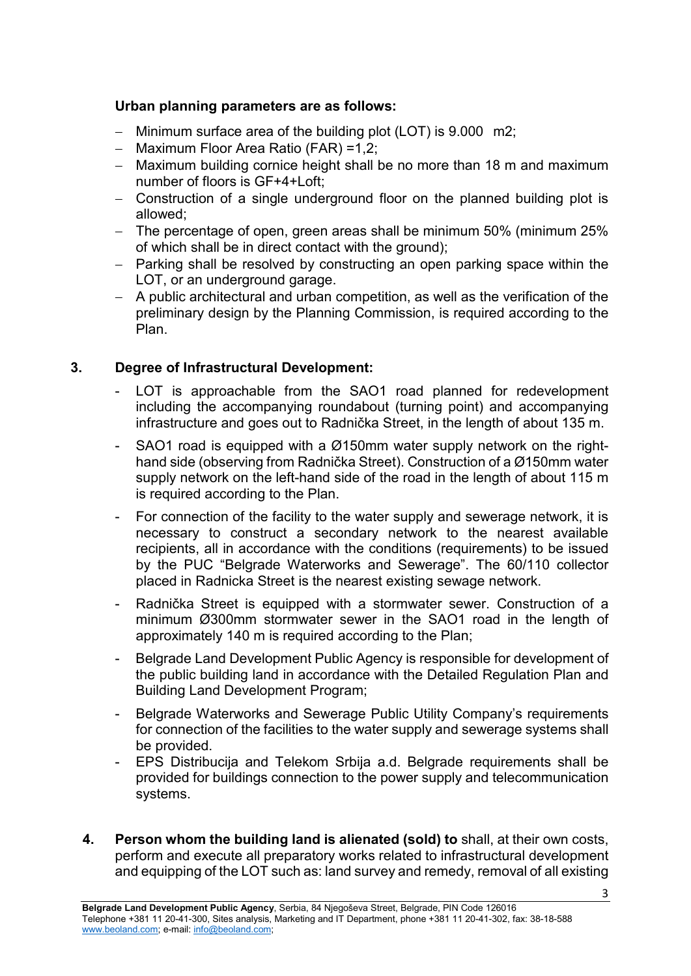### **Urban planning parameters are as follows:**

- − Minimum surface area of the building plot (LOT) is 9.000 m2;
- − Maximum Floor Area Ratio (FAR) =1,2;
- − Maximum building cornice height shall be no more than 18 m and maximum number of floors is GF+4+Loft;
- − Construction of a single underground floor on the planned building plot is allowed;
- − The percentage of open, green areas shall be minimum 50% (minimum 25% of which shall be in direct contact with the ground);
- − Parking shall be resolved by constructing an open parking space within the LOT, or an underground garage.
- − A public architectural and urban competition, as well as the verification of the preliminary design by the Planning Commission, is required according to the Plan.

### **3. Degree of Infrastructural Development:**

- LOT is approachable from the SAO1 road planned for redevelopment including the accompanying roundabout (turning point) and accompanying infrastructure and goes out to Radnička Street, in the length of about 135 m.
- SAO1 road is equipped with a  $\varnothing$ 150mm water supply network on the righthand side (observing from Radnička Street). Construction of a Ø150mm water supply network on the left-hand side of the road in the length of about 115 m is required according to the Plan.
- For connection of the facility to the water supply and sewerage network, it is necessary to construct a secondary network to the nearest available recipients, all in accordance with the conditions (requirements) to be issued by the PUC "Belgrade Waterworks and Sewerage". The 60/110 collector placed in Radnicka Street is the nearest existing sewage network.
- Radnička Street is equipped with a stormwater sewer. Construction of a minimum Ø300mm stormwater sewer in the SAO1 road in the length of approximately 140 m is required according to the Plan;
- Belgrade Land Development Public Agency is responsible for development of the public building land in accordance with the Detailed Regulation Plan and Building Land Development Program;
- Belgrade Waterworks and Sewerage Public Utility Company's requirements for connection of the facilities to the water supply and sewerage systems shall be provided.
- EPS Distribucija and Telekom Srbija a.d. Belgrade requirements shall be provided for buildings connection to the power supply and telecommunication systems.
- **4. Person whom the building land is alienated (sold) to** shall, at their own costs, perform and execute all preparatory works related to infrastructural development and equipping of the LOT such as: land survey and remedy, removal of all existing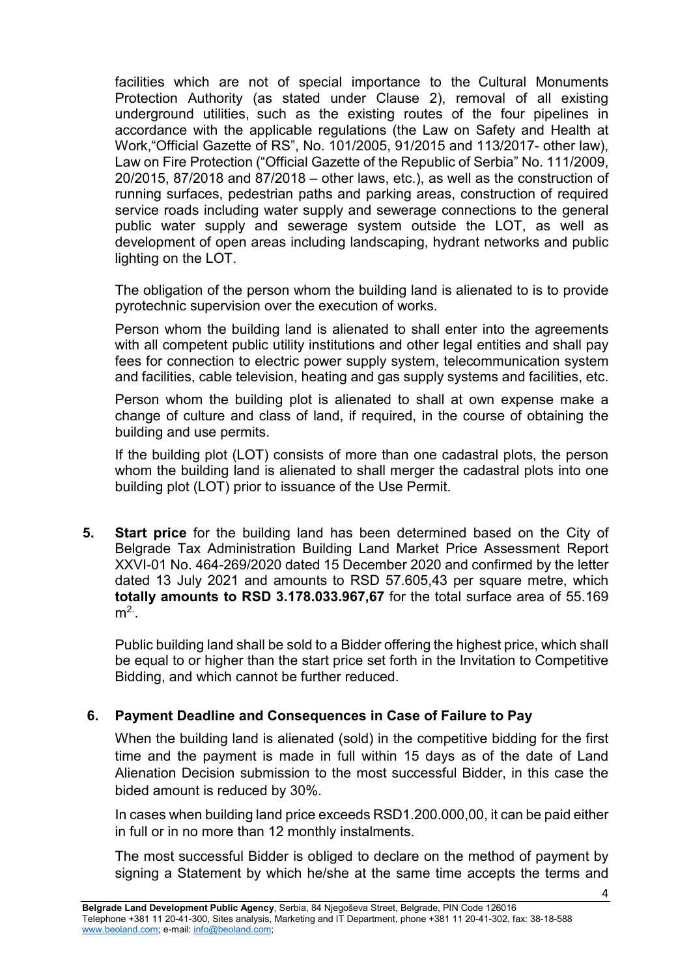facilities which are not of special importance to the Cultural Monuments Protection Authority (as stated under Clause 2), removal of all existing underground utilities, such as the existing routes of the four pipelines in accordance with the applicable regulations (the Law on Safety and Health at Work,"Official Gazette of RS", No. 101/2005, 91/2015 and 113/2017- other law), Law on Fire Protection ("Official Gazette of the Republic of Serbia" No. 111/2009, 20/2015, 87/2018 and 87/2018 – other laws, etc.), as well as the construction of running surfaces, pedestrian paths and parking areas, construction of required service roads including water supply and sewerage connections to the general public water supply and sewerage system outside the LOT, as well as development of open areas including landscaping, hydrant networks and public lighting on the LOT.

The obligation of the person whom the building land is alienated to is to provide pyrotechnic supervision over the execution of works.

Person whom the building land is alienated to shall enter into the agreements with all competent public utility institutions and other legal entities and shall pay fees for connection to electric power supply system, telecommunication system and facilities, cable television, heating and gas supply systems and facilities, etc.

Person whom the building plot is alienated to shall at own expense make a change of culture and class of land, if required, in the course of obtaining the building and use permits.

If the building plot (LOT) consists of more than one cadastral plots, the person whom the building land is alienated to shall merger the cadastral plots into one building plot (LOT) prior to issuance of the Use Permit.

**5. Start price** for the building land has been determined based on the City of Belgrade Tax Administration Building Land Market Price Assessment Report XXVI-01 No. 464-269/2020 dated 15 December 2020 and confirmed by the letter dated 13 July 2021 and amounts to RSD 57.605,43 per square metre, which **totally amounts to RSD 3.178.033.967,67** for the total surface area of 55.169  $m<sup>2</sup>$ .

Public building land shall be sold to a Bidder offering the highest price, which shall be equal to or higher than the start price set forth in the Invitation to Competitive Bidding, and which cannot be further reduced.

# **6. Payment Deadline and Consequences in Case of Failure to Pay**

When the building land is alienated (sold) in the competitive bidding for the first time and the payment is made in full within 15 days as of the date of Land Alienation Decision submission to the most successful Bidder, in this case the bided amount is reduced by 30%.

In cases when building land price exceeds RSD1.200.000,00, it can be paid either in full or in no more than 12 monthly instalments.

The most successful Bidder is obliged to declare on the method of payment by signing a Statement by which he/she at the same time accepts the terms and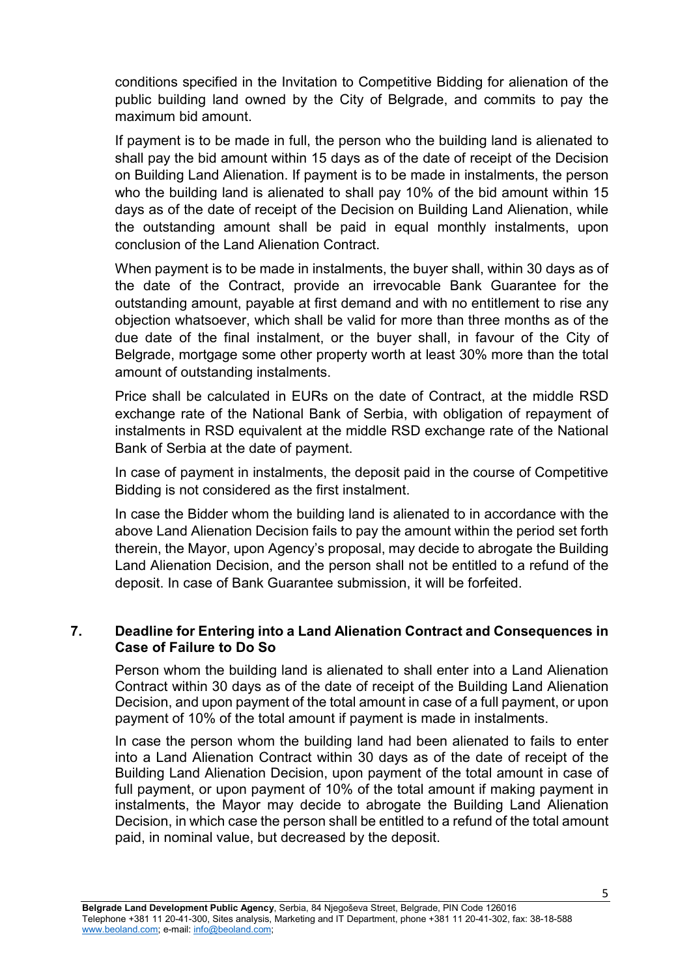conditions specified in the Invitation to Competitive Bidding for alienation of the public building land owned by the City of Belgrade, and commits to pay the maximum bid amount.

If payment is to be made in full, the person who the building land is alienated to shall pay the bid amount within 15 days as of the date of receipt of the Decision on Building Land Alienation. If payment is to be made in instalments, the person who the building land is alienated to shall pay 10% of the bid amount within 15 days as of the date of receipt of the Decision on Building Land Alienation, while the outstanding amount shall be paid in equal monthly instalments, upon conclusion of the Land Alienation Contract.

When payment is to be made in instalments, the buyer shall, within 30 days as of the date of the Contract, provide an irrevocable Bank Guarantee for the outstanding amount, payable at first demand and with no entitlement to rise any objection whatsoever, which shall be valid for more than three months as of the due date of the final instalment, or the buyer shall, in favour of the City of Belgrade, mortgage some other property worth at least 30% more than the total amount of outstanding instalments.

Price shall be calculated in EURs on the date of Contract, at the middle RSD exchange rate of the National Bank of Serbia, with obligation of repayment of instalments in RSD equivalent at the middle RSD exchange rate of the National Bank of Serbia at the date of payment.

In case of payment in instalments, the deposit paid in the course of Competitive Bidding is not considered as the first instalment.

In case the Bidder whom the building land is alienated to in accordance with the above Land Alienation Decision fails to pay the amount within the period set forth therein, the Mayor, upon Agency's proposal, may decide to abrogate the Building Land Alienation Decision, and the person shall not be entitled to a refund of the deposit. In case of Bank Guarantee submission, it will be forfeited.

#### **7. Deadline for Entering into a Land Alienation Contract and Consequences in Case of Failure to Do So**

Person whom the building land is alienated to shall enter into a Land Alienation Contract within 30 days as of the date of receipt of the Building Land Alienation Decision, and upon payment of the total amount in case of a full payment, or upon payment of 10% of the total amount if payment is made in instalments.

In case the person whom the building land had been alienated to fails to enter into a Land Alienation Contract within 30 days as of the date of receipt of the Building Land Alienation Decision, upon payment of the total amount in case of full payment, or upon payment of 10% of the total amount if making payment in instalments, the Mayor may decide to abrogate the Building Land Alienation Decision, in which case the person shall be entitled to a refund of the total amount paid, in nominal value, but decreased by the deposit.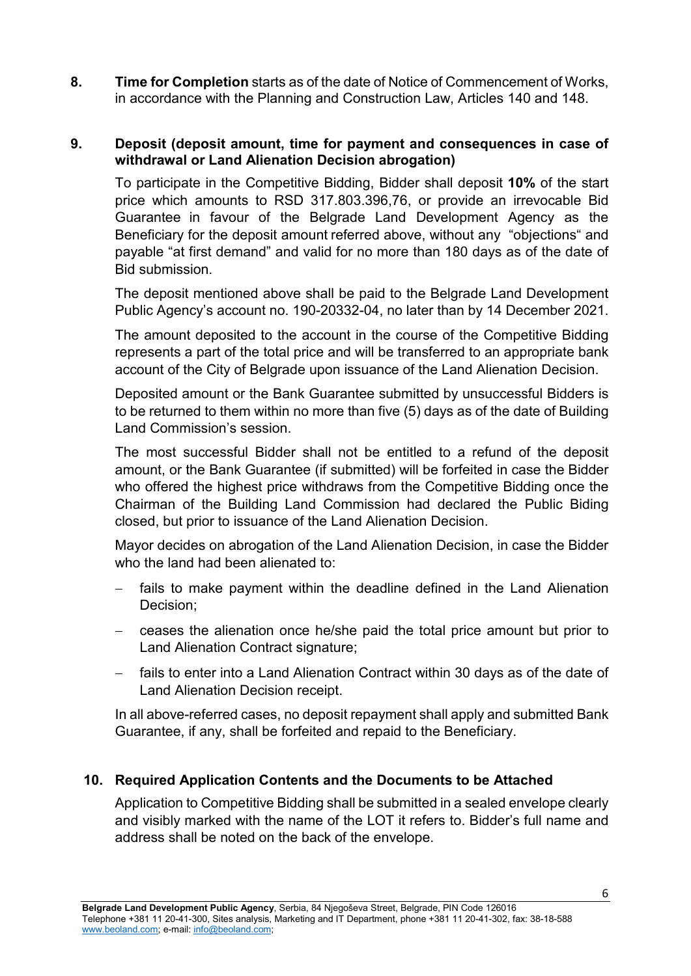**8. Time for Completion** starts as of the date of Notice of Commencement of Works, in accordance with the Planning and Construction Law, Articles 140 and 148.

#### **9. Deposit (deposit amount, time for payment and consequences in case of withdrawal or Land Alienation Decision abrogation)**

To participate in the Competitive Bidding, Bidder shall deposit **10%** of the start price which amounts to RSD 317.803.396,76, or provide an irrevocable Bid Guarantee in favour of the Belgrade Land Development Agency as the Beneficiary for the deposit amount referred above, without any "objections" and payable "at first demand" and valid for no more than 180 days as of the date of Bid submission.

The deposit mentioned above shall be paid to the Belgrade Land Development Public Agency's account no. 190-20332-04, no later than by 14 December 2021.

The amount deposited to the account in the course of the Competitive Bidding represents a part of the total price and will be transferred to an appropriate bank account of the City of Belgrade upon issuance of the Land Alienation Decision.

Deposited amount or the Bank Guarantee submitted by unsuccessful Bidders is to be returned to them within no more than five (5) days as of the date of Building Land Commission's session.

The most successful Bidder shall not be entitled to a refund of the deposit amount, or the Bank Guarantee (if submitted) will be forfeited in case the Bidder who offered the highest price withdraws from the Competitive Bidding once the Chairman of the Building Land Commission had declared the Public Biding closed, but prior to issuance of the Land Alienation Decision.

Mayor decides on abrogation of the Land Alienation Decision, in case the Bidder who the land had been alienated to:

- fails to make payment within the deadline defined in the Land Alienation Decision;
- − ceases the alienation once he/she paid the total price amount but prior to Land Alienation Contract signature;
- fails to enter into a Land Alienation Contract within 30 days as of the date of Land Alienation Decision receipt.

In all above-referred cases, no deposit repayment shall apply and submitted Bank Guarantee, if any, shall be forfeited and repaid to the Beneficiary.

# **10. Required Application Contents and the Documents to be Attached**

Application to Competitive Bidding shall be submitted in a sealed envelope clearly and visibly marked with the name of the LOT it refers to. Bidder's full name and address shall be noted on the back of the envelope.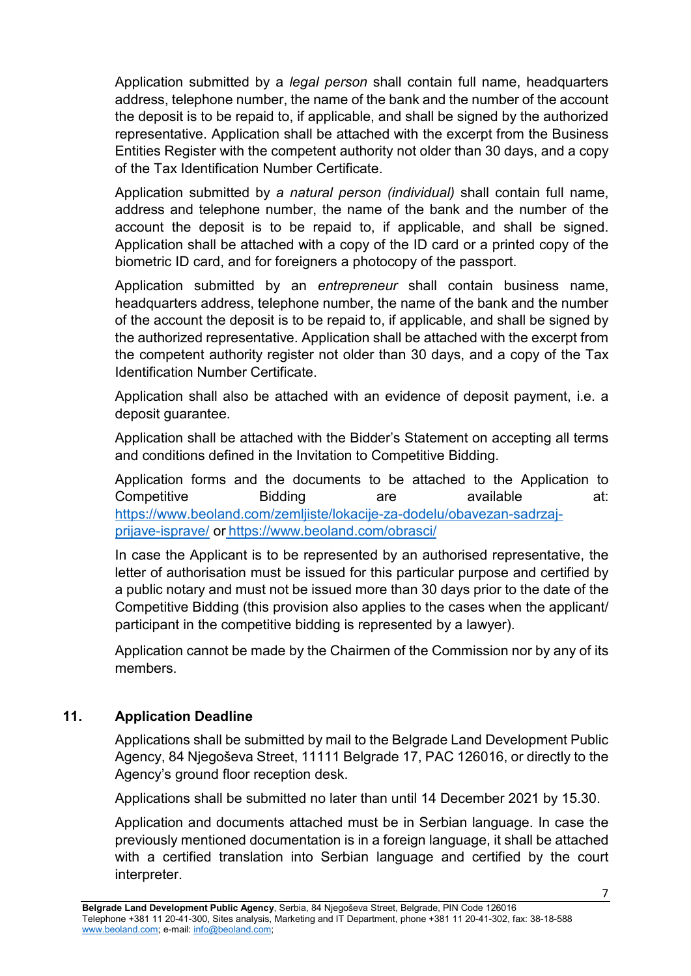Application submitted by a *legal person* shall contain full name, headquarters address, telephone number, the name of the bank and the number of the account the deposit is to be repaid to, if applicable, and shall be signed by the authorized representative. Application shall be attached with the excerpt from the Business Entities Register with the competent authority not older than 30 days, and a copy of the Tax Identification Number Certificate.

Application submitted by *a natural person (individual)* shall contain full name, address and telephone number, the name of the bank and the number of the account the deposit is to be repaid to, if applicable, and shall be signed. Application shall be attached with a copy of the ID card or a printed copy of the biometric ID card, and for foreigners a photocopy of the passport.

Application submitted by an *entrepreneur* shall contain business name, headquarters address, telephone number, the name of the bank and the number of the account the deposit is to be repaid to, if applicable, and shall be signed by the authorized representative. Application shall be attached with the excerpt from the competent authority register not older than 30 days, and a copy of the Tax Identification Number Certificate.

Application shall also be attached with an evidence of deposit payment, i.e. a deposit guarantee.

Application shall be attached with the Bidder's Statement on accepting all terms and conditions defined in the Invitation to Competitive Bidding.

Application forms and the documents to be attached to the Application to Competitive Bidding are available at: [https://www.beoland.com/zemljiste/lokacije-za-dodelu/obavezan-sadrzaj](https://www.beoland.com/zemljiste/lokacije-za-dodelu/obavezan-sadrzaj-prijave-isprave/)[prijave-isprave/](https://www.beoland.com/zemljiste/lokacije-za-dodelu/obavezan-sadrzaj-prijave-isprave/) or <https://www.beoland.com/obrasci/>

In case the Applicant is to be represented by an authorised representative, the letter of authorisation must be issued for this particular purpose and certified by a public notary and must not be issued more than 30 days prior to the date of the Competitive Bidding (this provision also applies to the cases when the applicant/ participant in the competitive bidding is represented by a lawyer).

Application cannot be made by the Chairmen of the Commission nor by any of its members.

# **11. Application Deadline**

Applications shall be submitted by mail to the Belgrade Land Development Public Agency, 84 Njegoševa Street, 11111 Belgrade 17, PAC 126016, or directly to the Agency's ground floor reception desk.

Applications shall be submitted no later than until 14 December 2021 by 15.30.

Application and documents attached must be in Serbian language. In case the previously mentioned documentation is in a foreign language, it shall be attached with a certified translation into Serbian language and certified by the court interpreter.